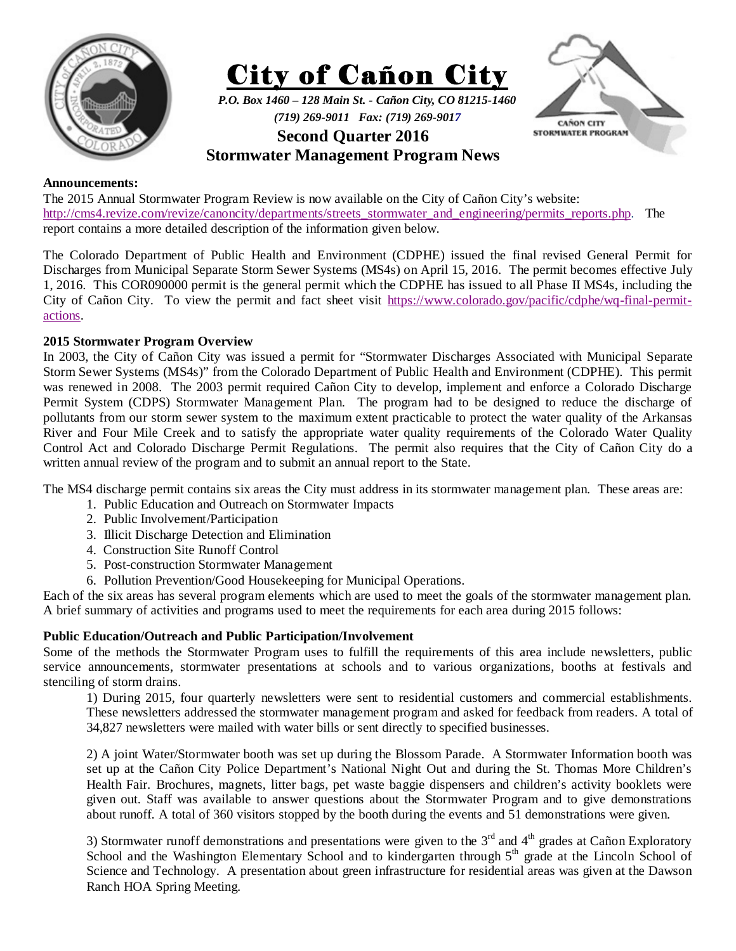



*P.O. Box 1460 – 128 Main St. - Cañon City, CO 81215-1460 (719) 269-9011 Fax: (719) 269-9017* 



# **Second Quarter 2016**

## **Stormwater Management Program News**

## **Announcements:**

The 2015 Annual Stormwater Program Review is now available on the City of Cañon City's website: http://cms4.revize.com/revize/canoncity/departments/streets\_stormwater\_and\_engineering/permits\_reports.php. The report contains a more detailed description of the information given below.

The Colorado Department of Public Health and Environment (CDPHE) issued the final revised General Permit for Discharges from Municipal Separate Storm Sewer Systems (MS4s) on April 15, 2016. The permit becomes effective July 1, 2016. This COR090000 permit is the general permit which the CDPHE has issued to all Phase II MS4s, including the City of Cañon City. To view the permit and fact sheet visit https://www.colorado.gov/pacific/cdphe/wq-final-permitactions.

## **2015 Stormwater Program Overview**

In 2003, the City of Cañon City was issued a permit for "Stormwater Discharges Associated with Municipal Separate Storm Sewer Systems (MS4s)" from the Colorado Department of Public Health and Environment (CDPHE). This permit was renewed in 2008. The 2003 permit required Cañon City to develop, implement and enforce a Colorado Discharge Permit System (CDPS) Stormwater Management Plan. The program had to be designed to reduce the discharge of pollutants from our storm sewer system to the maximum extent practicable to protect the water quality of the Arkansas River and Four Mile Creek and to satisfy the appropriate water quality requirements of the Colorado Water Quality Control Act and Colorado Discharge Permit Regulations. The permit also requires that the City of Cañon City do a written annual review of the program and to submit an annual report to the State.

The MS4 discharge permit contains six areas the City must address in its stormwater management plan. These areas are:

- 1. Public Education and Outreach on Stormwater Impacts
- 2. Public Involvement/Participation
- 3. Illicit Discharge Detection and Elimination
- 4. Construction Site Runoff Control
- 5. Post-construction Stormwater Management
- 6. Pollution Prevention/Good Housekeeping for Municipal Operations.

Each of the six areas has several program elements which are used to meet the goals of the stormwater management plan. A brief summary of activities and programs used to meet the requirements for each area during 2015 follows:

## **Public Education/Outreach and Public Participation/Involvement**

Some of the methods the Stormwater Program uses to fulfill the requirements of this area include newsletters, public service announcements, stormwater presentations at schools and to various organizations, booths at festivals and stenciling of storm drains.

1) During 2015, four quarterly newsletters were sent to residential customers and commercial establishments. These newsletters addressed the stormwater management program and asked for feedback from readers. A total of 34,827 newsletters were mailed with water bills or sent directly to specified businesses.

2) A joint Water/Stormwater booth was set up during the Blossom Parade. A Stormwater Information booth was set up at the Cañon City Police Department's National Night Out and during the St. Thomas More Children's Health Fair. Brochures, magnets, litter bags, pet waste baggie dispensers and children's activity booklets were given out. Staff was available to answer questions about the Stormwater Program and to give demonstrations about runoff. A total of 360 visitors stopped by the booth during the events and 51 demonstrations were given.

3) Stormwater runoff demonstrations and presentations were given to the  $3<sup>rd</sup>$  and  $4<sup>th</sup>$  grades at Cañon Exploratory School and the Washington Elementary School and to kindergarten through  $5<sup>th</sup>$  grade at the Lincoln School of Science and Technology. A presentation about green infrastructure for residential areas was given at the Dawson Ranch HOA Spring Meeting.